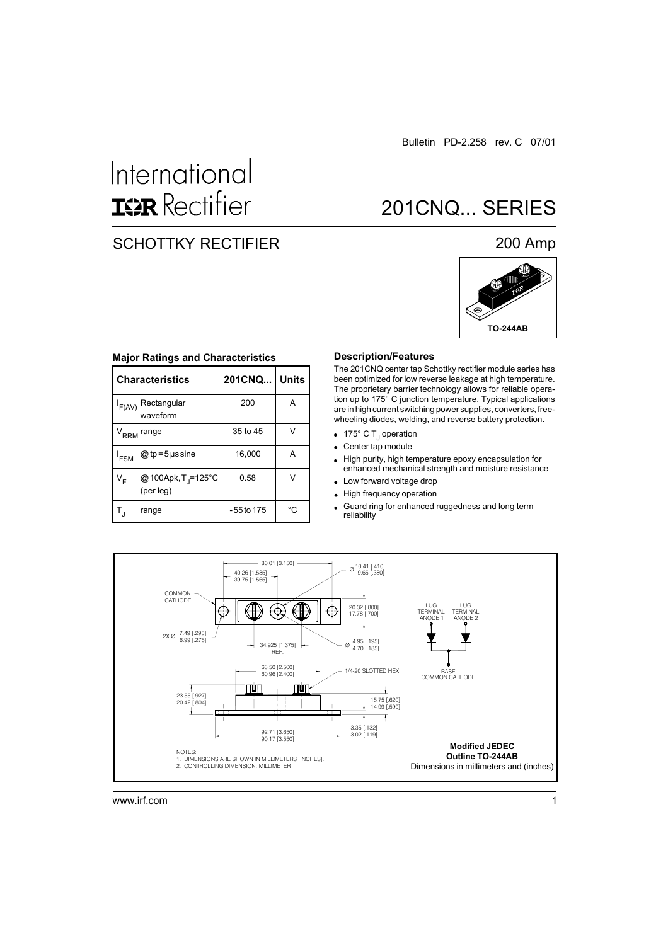# International **ISR** Rectifier

### SCHOTTKY RECTIFIER

### 200 Amp

201CNQ... SERIES



#### **Major Ratings and Characteristics**

|                        | <b>Characteristics</b>                      | 201CNQ     | <b>Units</b> |  |
|------------------------|---------------------------------------------|------------|--------------|--|
| $I_{F(AV)}$            | Rectangular<br>waveform                     | 200        | A            |  |
| V <sub>RRM</sub> range |                                             | 35 to 45   | V            |  |
| <sup>I</sup> FSM       | @ tp = 5 $\mu$ s sine                       | 16,000     | Α            |  |
| V <sub>F</sub>         | @100Apk, T <sub>J</sub> =125°C<br>(per leg) | 0.58       | V            |  |
|                        | range                                       | -55 to 175 | °C           |  |

#### **Description/Features**

The 201CNQ center tap Schottky rectifier module series has been optimized for low reverse leakage at high temperature. The proprietary barrier technology allows for reliable operation up to 175° C junction temperature. Typical applications are in high current switching power supplies, converters, freewheeling diodes, welding, and reverse battery protection.

- 175° C T<sub>J</sub> operation
- Center tap module
- High purity, high temperature epoxy encapsulation for  $\bullet$ enhanced mechanical strength and moisture resistance
- Low forward voltage drop  $\bullet$
- High frequency operation  $\bullet$
- Guard ring for enhanced ruggedness and long term reliability

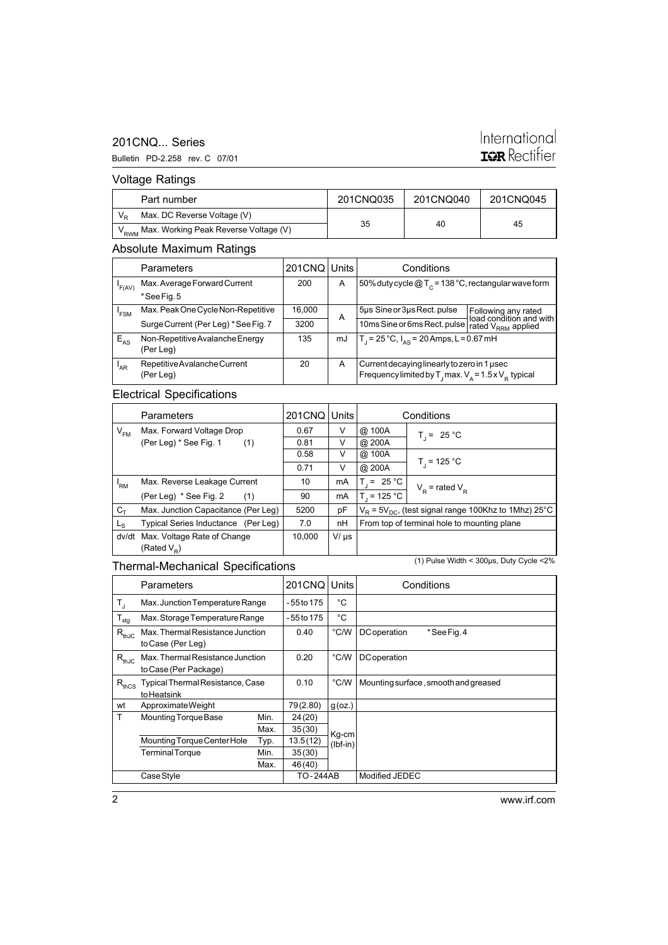### 201CNQ... Series

#### Bulletin PD-2.258 rev. C 07/01

### International **ISR** Rectifier

### Voltage Ratings

| Part number                                              | 201CNQ035 | 201CNQ040 | 201CNQ045 |  |
|----------------------------------------------------------|-----------|-----------|-----------|--|
| Max. DC Reverse Voltage (V)                              |           |           |           |  |
| ` V <sub>RWM</sub> Max. Working Peak Reverse Voltage (V) | 35        | 40        | 45        |  |

### Absolute Maximum Ratings

|                  | <b>Parameters</b>                    | 201CNQ Units |    | Conditions                                                                    |                                                |  |
|------------------|--------------------------------------|--------------|----|-------------------------------------------------------------------------------|------------------------------------------------|--|
| F(AV)            | Max. Average Forward Current         | 200          | A  | 50% duty cycle $@T_c = 138 °C$ , rectangular wave form                        |                                                |  |
|                  | *See Fig. 5                          |              |    |                                                                               |                                                |  |
| <sup>1</sup> FSM | Max. Peak One Cycle Non-Repetitive   | 16,000       |    | 5µs Sine or 3µs Rect. pulse                                                   | Following any rated<br>load condition and with |  |
|                  | Surge Current (Per Leg) * See Fig. 7 | 3200         | A  | 10ms Sine or 6ms Rect. pulse                                                  | rated V <sub>RRM</sub> applied                 |  |
| $E_{AS}$         | Non-Repetitive Avalanche Energy      | 135          | mJ | $T_1 = 25^{\circ}C$ , $I_{AS} = 20$ Amps, L = 0.67 mH                         |                                                |  |
|                  | (Per Leg)                            |              |    |                                                                               |                                                |  |
| <sup>'</sup> AR  | Repetitive Avalanche Current         | 20           | A  | Current decaying linearly to zero in 1 used                                   |                                                |  |
|                  | (Per Leg)                            |              |    | Frequency limited by $T_{\rm j}$ max. $V_{\rm A}$ = 1.5 x $V_{\rm R}$ typical |                                                |  |

### Electrical Specifications

| <b>Parameters</b> |                                                     | 201CNQ Units |           | Conditions                                                   |                     |  |
|-------------------|-----------------------------------------------------|--------------|-----------|--------------------------------------------------------------|---------------------|--|
| $V_{FM}$          | Max. Forward Voltage Drop                           | 0.67         | V         | @ 100A                                                       | $T = 25 °C$         |  |
|                   | (Per Leg) * See Fig. 1<br>(1)                       | 0.81         | V         | @ 200A                                                       |                     |  |
|                   |                                                     | 0.58         | V         | @ 100A                                                       |                     |  |
|                   |                                                     | 0.71         | v         | @ 200A                                                       | $T_i = 125 °C$      |  |
| 'RM               | Max. Reverse Leakage Current                        | 10           | mA        | $= 25 °C$                                                    | $V_p$ = rated $V_p$ |  |
|                   | (Per Leg) * See Fig. 2<br>(1)                       | 90           | mA        | $T_{1}$ = 125 °C                                             |                     |  |
| $C_T$             | Max. Junction Capacitance (Per Leg)                 | 5200         | pF        | $V_B$ = 5 $V_{DC}$ , (test signal range 100Khz to 1Mhz) 25°C |                     |  |
| Ls                | Typical Series Inductance (Per Leg)                 | 7.0          | nH        | From top of terminal hole to mounting plane                  |                     |  |
| dv/dt             | Max. Voltage Rate of Change<br>(Rated $V_{\rm p}$ ) | 10.000       | $V/\mu s$ |                                                              |                     |  |

### Thermal-Mechanical Specifications

(1) Pulse Width < 300µs, Duty Cycle <2%

|                  | Parameters                                                |      | 201CNQ          | Units               | Conditions                           |
|------------------|-----------------------------------------------------------|------|-----------------|---------------------|--------------------------------------|
| T,               | Max. Junction Temperature Range                           |      | - 55 to 175     | °C                  |                                      |
| $T_{\text{stg}}$ | Max. Storage Temperature Range                            |      | - 55 to 175     | °C                  |                                      |
| $R_{thJC}$       | Max. Thermal Resistance Junction<br>to Case (Per Leg)     |      | 0.40            | °C/W                | DC operation<br>* See Fig. 4         |
| $R_{thJC}$       | Max. Thermal Resistance Junction<br>to Case (Per Package) |      | 0.20            | $\degree$ C/W       | <b>DC</b> operation                  |
| $R_{thCS}$       | <b>Typical Thermal Resistance, Case</b><br>to Heatsink    |      | 0.10            | $\degree$ C/W       | Mounting surface, smooth and greased |
| wt               | Approximate Weight                                        |      | 79(2.80)        | $g$ (oz.)           |                                      |
| T                | Mounting Torque Base                                      | Min. | 24 (20)         |                     |                                      |
|                  |                                                           | Max. | 35(30)          | Kg-cm<br>$(lbf-in)$ |                                      |
|                  | Mounting Torque Center Hole                               | Typ. | 13.5(12)        |                     |                                      |
|                  | <b>Terminal Torque</b>                                    | Min. | 35(30)          |                     |                                      |
|                  |                                                           | Max. | 46 (40)         |                     |                                      |
|                  | Case Style                                                |      | <b>TO-244AB</b> |                     | Modified JEDEC                       |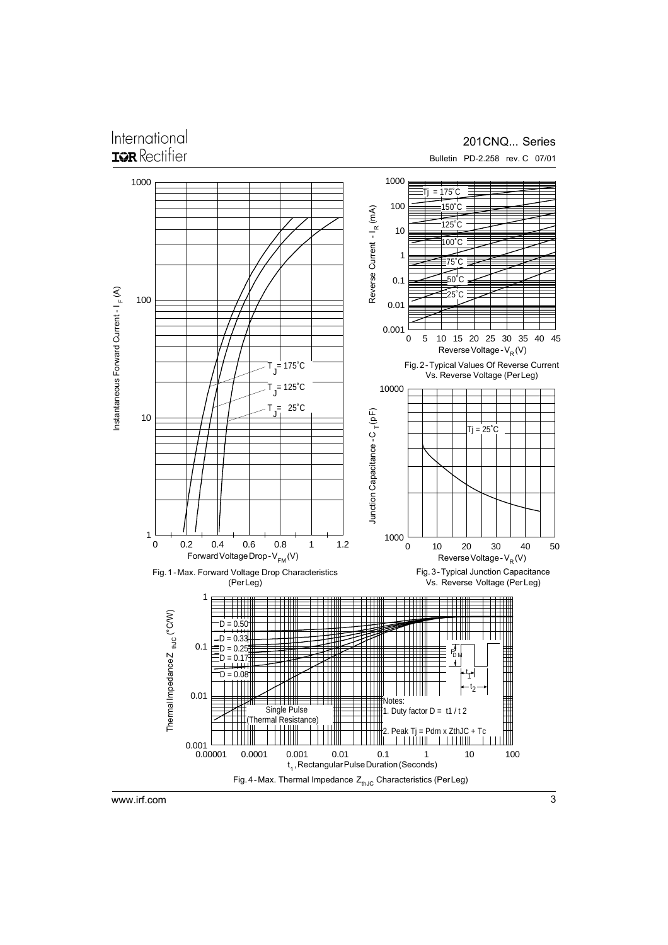## International

### 201CNQ... Series

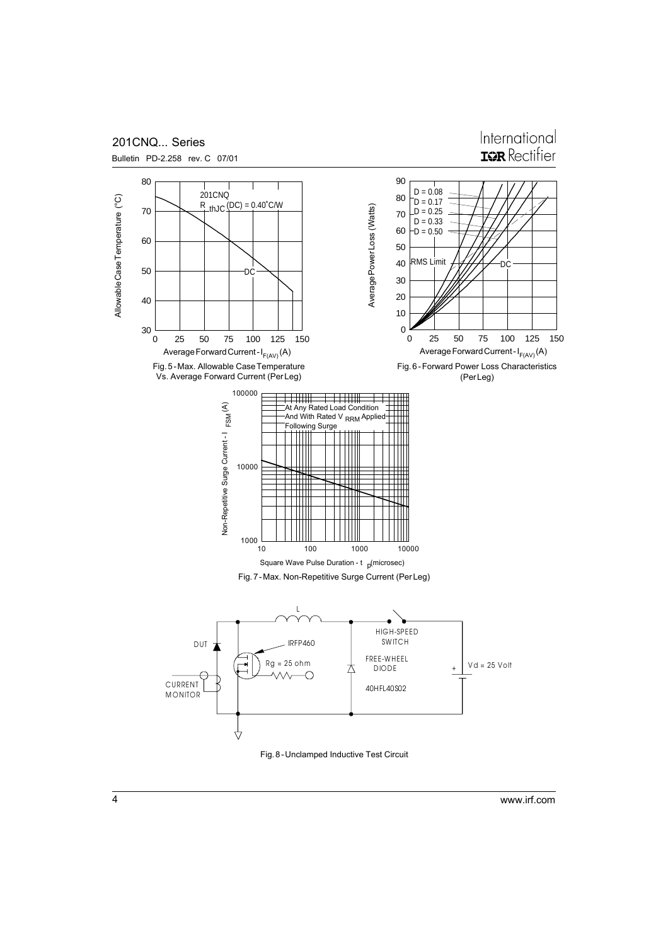